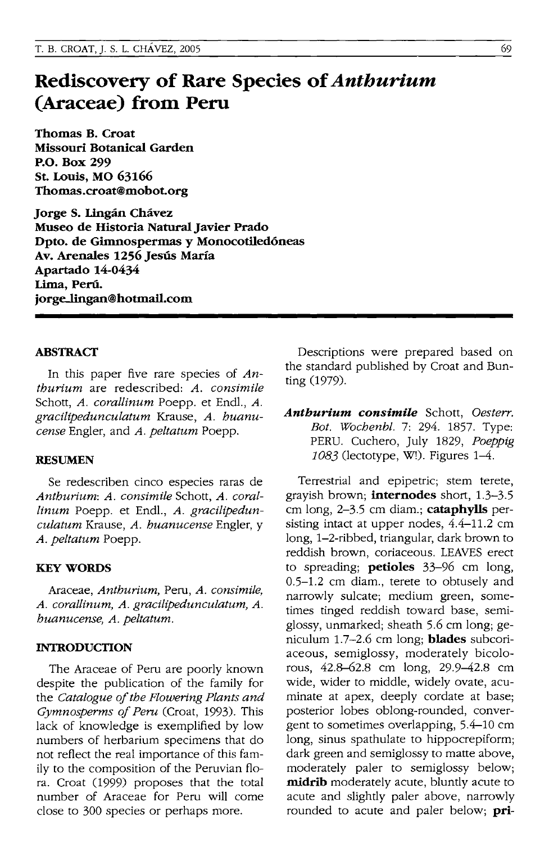# **Rediscovery of Rare Species of** *Anthurium*  **(Araceae) from Peru**

Thomas B. Croat Missouri Botanical Garden P.o. Box 299 St. Louis, MO 63166 Thomas.croat@mobot.org

Jorge S. Ungan Chavez Museo de Historia Natural Javier Prado Dpto. de Gimnospermas y Monocotiledóneas Av. Arenales 1256 Jesús María Apartado 14-0434 Lima, Perú. jorge-lingan@botmail.com

### ABSTRACT

In this paper five rare species of *Anthurium* are redescribed: *A. consimile*  Schott, *A. corallinum* Poepp. et End!., *A. gracilipedunculatum* Krause, *A. huanucense* Engler, and *A. peltatum* Poepp.

### RESUMEN

Se redescriben cinco especies raras de *Anthurium: A. consimile* Schott, *A. coral- !inum* Poepp. et Endl., *A. gracilipedunculatum* Krause, *A. huanucense* Engler, y *A. peltatum* Poepp.

### **KEY WORDS**

Araceae, *Anthurium,* Peru, *A. consimile, A. corallinum, A. gracilipedunculatum, A. huanucense, A. peltatum.* 

#### INTRODUCTION

The Araceae of Peru are poorly known despite the publication of the family for the *Catalogue of the Flowering Plants and Gymnosperms of Peru* (Croat, 1993). This lack of knowledge is exemplified by low numbers of herbarium specimens that do not reflect the real importance of this family to the composition of the Peruvian flora. Croat (1999) proposes that the total number of Araceae for Peru will come close to 300 species or perhaps more.

Descriptions were prepared based on the standard published by Croat and Bunting (1979).

*Anthurium consimile* Schott, *Oesterr. Bot. Wochenbl.* 7: 294. 1857. Type: PERU. Cuchero, July 1829, *Poeppig*   $1083$  (lectotype, W!). Figures  $1-4$ .

Terrestrial and epipetric; stem terete, grayish brown; **internodes** short, 1.3-3.5 cm long, 2-3.5 cm diam.; cataphylls persisting intact at upper nodes, 4.4-11.2 cm long, 1-2-ribbed, triangular, dark brown to reddish brown, coriaceous. LEAVES erect to spreading; petioles 33-96 cm long, 0.5-1.2 cm diam., terete to obtusely and narrowly sulcate; medium green, sometimes tinged reddish toward base, semiglossy, unmarked; sheath 5.6 cm long; geniculum 1.7-2.6 cm long; **blades** subcoriaceous, semiglossy, moderately bicolorous, 42.8-62.8 cm long, 29.9-42.8 cm wide, wider to middle, widely ovate, acuminate at apex, deeply cordate at base; posterior lobes oblong-rounded, convergent to sometimes overlapping, 5.4-10 cm long, sinus spathulate to hippocrepiform; dark green and semiglossy to matte above, moderately paler to semiglossy below; midrib moderately acute, bluntly acute to acute and slightly paler above, narrowly rounded to acute and paler below;  $\pi$ i-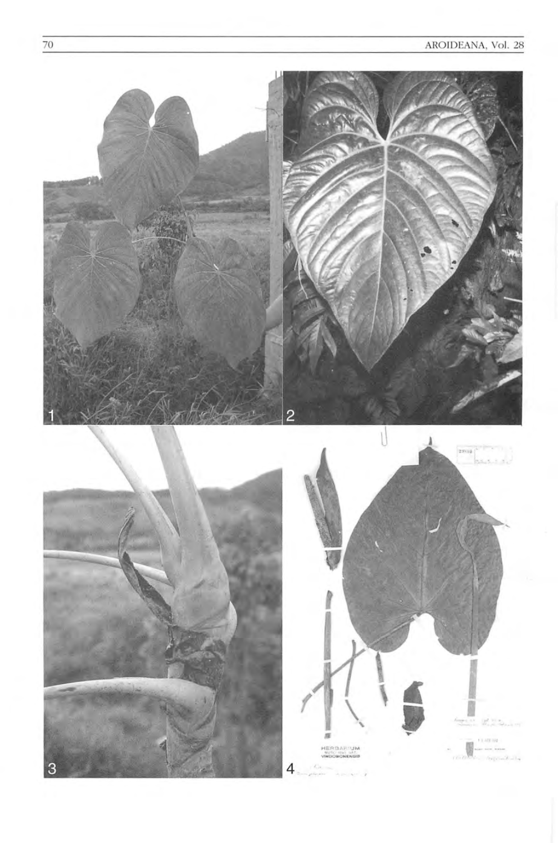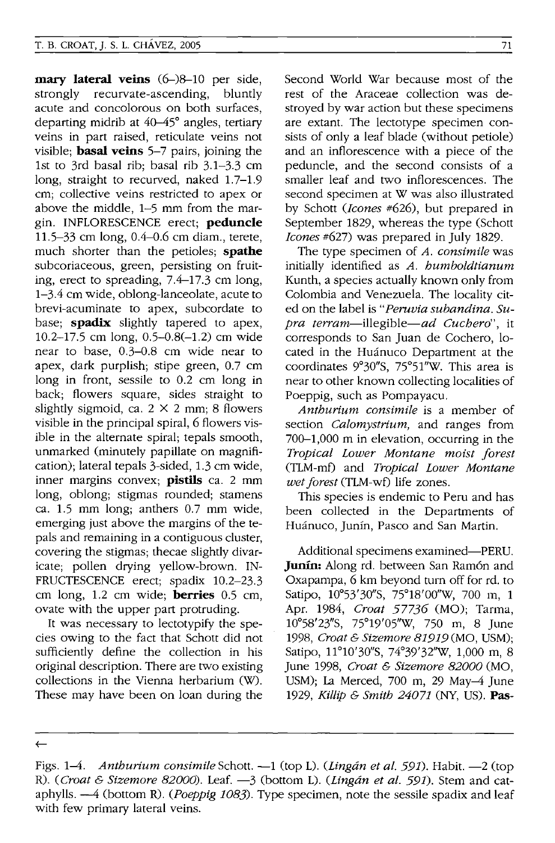**mary lateral veins** (6-)8-10 per side, strongly recurvate-ascending, bluntly acute and concolorous on both surfaces, departing midrib at 40-45° angles, tertiary veins in part raised, reticulate veins not visible; **basal veins** 5-7 pairs, joining the 1st to 3rd basal rib; basal rib 3.1-3.3 cm long, straight to recurved, naked 1.7-1.9 cm; collective veins restricted to apex or above the middle, 1-5 mm from the margin. INFLORESCENCE erect; **peduncle**  11.5-33 cm long, 0.4-0.6 cm diam., terete, much shorter than the petioles; **spathe**  subcoriaceous, green, persisting on fruiting, erect to spreading, 7.4-17.3 cm long, 1-3.4 cm wide, oblong-lanceolate, acute to brevi-acuminate to apex, subcordate to base; **spadix** slightly tapered to apex, 10.2-17.5 cm long, 0.5-0.8(-1.2) cm wide near to base, 0.3-0.8 cm wide near to apex, dark purplish; stipe green, 0.7 cm long in front, sessile to 0.2 cm long in back; flowers square, sides straight to slightly sigmoid, ca.  $2 \times 2$  mm; 8 flowers visible in the principal spiral, 6 flowers visible in the alternate spiral; tepals smooth, unmarked (minutely papillate on magnification); lateral tepals 3-sided, 1.3 cm wide, inner margins convex; **pistils** ca. 2 mm long, oblong; stigmas rounded; stamens ca. 1.5 mm long; anthers 0.7 mm wide, emerging just above the margins of the tepals and remaining in a contiguous cluster, covering the stigmas; thecae slightly divaricate; pollen drying yellow-brown. IN-FRUCTESCENCE erect; spadix 10.2-23.3 cm long, 1.2 cm wide; **berries** 0.5 cm, ovate with the upper part protruding.

It was necessary to lectotypify the species owing to the fact that Schott did not sufficiently define the collection in his original description. There are two existing collections in the Vienna herbarium (W). These may have been on loan during the Second World War because most of the rest of the Araceae collection was destroyed by war action but these specimens are extant. The lectotype specimen consists of only a leaf blade (without petiole) and an inflorescence with a piece of the peduncle, and the second consists of a smaller leaf and two inflorescences. The second specimen at W was also illustrated by Schott *(Jcones* #626), but prepared in September 1829, whereas the type (Schott *Jeones* #627) was prepared in July 1829.

The type specimen of *A. consimile* was initially identified as *A. humboldtianum*  Kunth, a species actually known only from Colombia and Venezuela. The locality cited on the label is *"Peruvia subandina. Supra terram-illegible-ad Cuchero",* it corresponds to San Juan de Cochero, located in the Huánuco Department at the coordinates 9°30"S, 75°51"W. This area is near to other known collecting localities of Poeppig, such as Pompayacu.

*Anthunum consimile* is a member of section *Calomystnum,* and ranges from 700-1,000 m in elevation, occurring in the *Tropical Lower Montane moist forest*  (TLM-mf) and *Tropical Lower Montane wet forest* (TLM-wf) life zones.

This species is endemic to Peru and has been collected in the Departments of Huánuco, Junín, Pasco and San Martin.

Additional specimens examined-PERU. **Junin:** Along rd. between San Ram6n and Oxapampa, 6 km beyond turn off for rd. to Satipo, 10°53'30"S, 75°18'00"W, 700 m, 1 Apr. 1984, *Croat* 57736 (MO); Tarma, 10°58' 23"S, 75°19'05"W, 750 m, 8 June *1998, Croat* & *Sizemore* 81919 (MO, USM); Satipo, 11°10'30"S, 74°39'32"W, 1,000 m, 8 June 1998, *Croat* & *Sizemore* 82000 (MO, USM); La Merced, 700 m, 29 May-4 June *1929, Killip* & *Smith* 24071 (NY, US). **Pas-**

 $\leftarrow$ 

Figs. 1-4. *Anthurium consimile* Schott. --1 (top L). *(Lingán et al. 591)*. Habit. --2 (top R). *(Croat* & *Sizemore* 82000). Leaf. -3 (bottom L). *(Lingan et al.* 591). Stem and cataphylls. -4 (bottom R). *(Poeppig* 1083). Type specimen, note the sessile spadix and leaf with few primary lateral veins.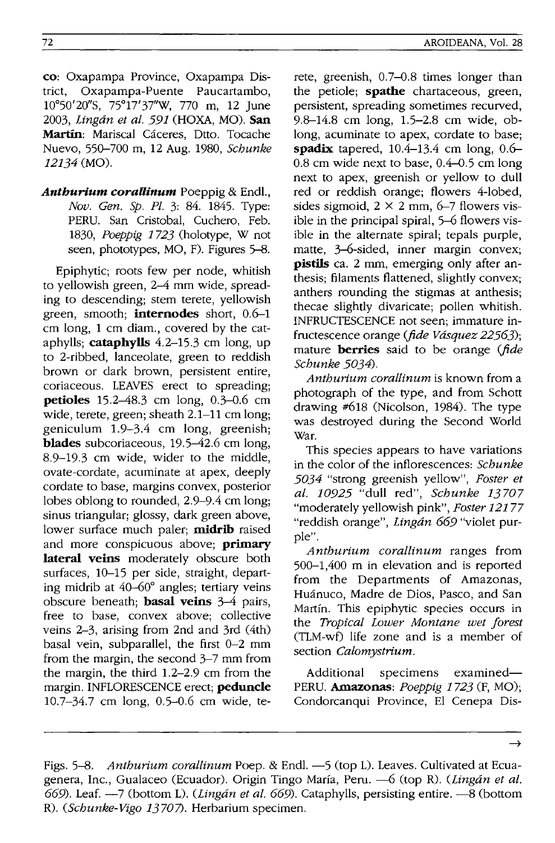72

co: Oxapampa Province, Oxapampa Dis-Oxapampa-Puente Paucartambo, 10°50'20"S, 75°17'37"W, 770 m, 12 June *2003, Lingan et al.* 591 (HOXA, MO). San Martín: Mariscal Cáceres, Dtto. Tocache Nuevo, 550-700 m, 12 Aug. 1980, *Schunke*  12134 (MO).

*Anthurium coraUinum* Poeppig & End!., *Nov. Gen. Sp. PI.* 3: 84. 1845. Type: PERU. San Cristobal, Cuchero, Feb. *1830, Poeppig* 1723 (holotype, W not seen, phototypes, MO, F). Figures 5–8.

Epiphytic; roots few per node, whitish to yellowish green, 2-4 mm wide, spreading to descending; stem terete, yellowish green, smooth; **internodes** short, 0.6-1 cm long, 1 cm diam., covered by the cataphylls; cataphylls  $4.2-15.3$  cm long, up to 2-ribbed, lanceolate, green to reddish brown or dark brown, persistent entire, coriaceous. LEAVES erect to spreading; **petioles** 15.2–48.3 cm long, 0.3–0.6 cm wide, terete, green; sheath 2.1-11 cm long; geniculum 1.9-3.4 cm long, greenish; **blades** subcoriaceous, 19.5–42.6 cm long, 8.9-19.3 cm wide, wider to the middle, ovate-cordate, acuminate at apex, deeply cordate to base, margins convex, posterior lobes oblong to rounded, 2.9-9.4 cm long; sinus triangular; glossy, dark green above, lower surface much paler; midrib raised and more conspicuous above; primary lateral veins moderately obscure both surfaces, 10-15 per side, straight, departing midrib at 40-60° angles; tertiary veins obscure beneath; basal veins 3-4 pairs, free to base, convex above; collective veins 2-3, arising from 2nd and 3rd (4th) basal vein, subparallel, the first 0-2 mm from the margin, the second 3-7 mm from the margin, the third 1.2-2.9 cm from the margin. INFLORESCENCE erect; peduncle 10.7-34.7 cm long, 0.5-0.6 cm wide, te-

rete, greenish, 0.7-0.8 times longer than the petiole; **spathe** chartaceous, green, persistent, spreading sometimes recurved, 9.8-14.8 cm long, 1.5-2.8 cm wide, oblong, acuminate to apex, cordate to base; spadix tapered,  $10.4-13.4$  cm long,  $0.6-$ 0.8 cm wide next to base, 0.4-0.5 cm long next to apex, greenish or yellow to dull red or reddish orange; flowers 4-lobed, sides sigmoid,  $2 \times 2$  mm, 6–7 flowers visible in the principal spiral, 5-6 flowers visible in the alternate spiral; tepals purple, matte, 3-6-sided, inner margin convex; pistils ca. 2 mm, emerging only after anthesis; filaments flattened, slightly convex; anthers rounding the stigmas at anthesis; thecae slightly divaricate; pollen whitish. INFRUCTESCENCE not seen; immature infructescence orange *(fide Vdsquez* 22563); mature berries said to be orange *(fide Schunke* 5034).

*Anthurium corallinum* is known from a photograph of the type, and from Schott drawing #618 (Nicolson, 1984). The type was destroyed during the Second World War.

This species appears to have variations in the color of the inflorescences: *Schunke*  5034 "strong greenish yellow", *Foster et al.* 10925 "dull red", *Schunke* 13707 "moderately yellowish pink", *Foster* 12177 "reddish orange", *Lingan* 669 "violet purple".

*Anthurium corallinum* ranges from 500-1,400 m in elevation and is reported from the Departments of Amazonas, Huánuco, Madre de Dios, Pasco, and San Martin. This epiphytic species occurs in the *Tropical Lower Montane wet forest*  (TLM-wD life zone and is a member of section *Calomystrium.* 

Additional specimens examined-PERU. Amazonas: *Poeppig* 1723 (F, MO); Condorcanqui Province, EI Cenepa Dis-

Figs. 5-8. *Anthurium corallinum* Poep. & Endl. -5 (top L). Leaves. Cultivated at Ecuagenera, Inc., Gualaceo (Ecuador). Origin Tingo María, Peru. - 6 (top R). *(Lingán et al.* 669). Leaf. -7 Cbottom L). *CLingan et al.* 669). Cataphylls, persisting entire. -8 (bottom R). *CSchunke-Vigo* 13707). Herbarium specimen.

 $\rightarrow$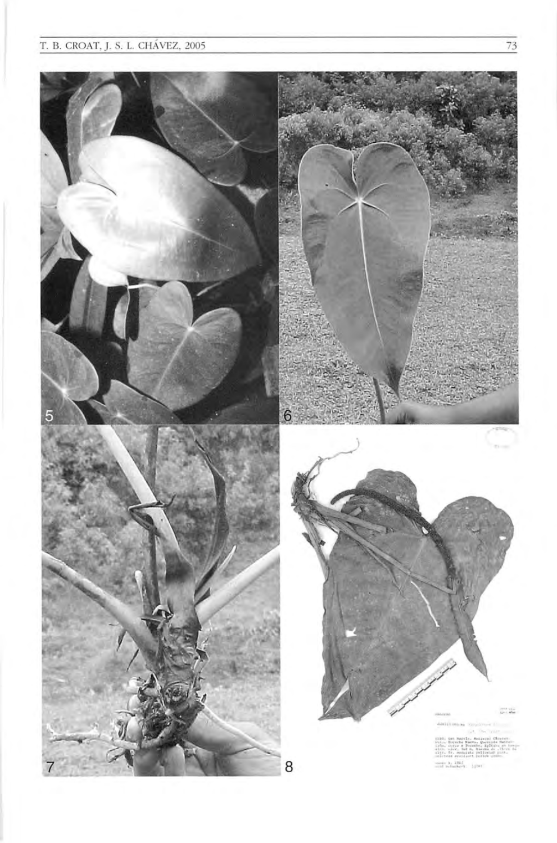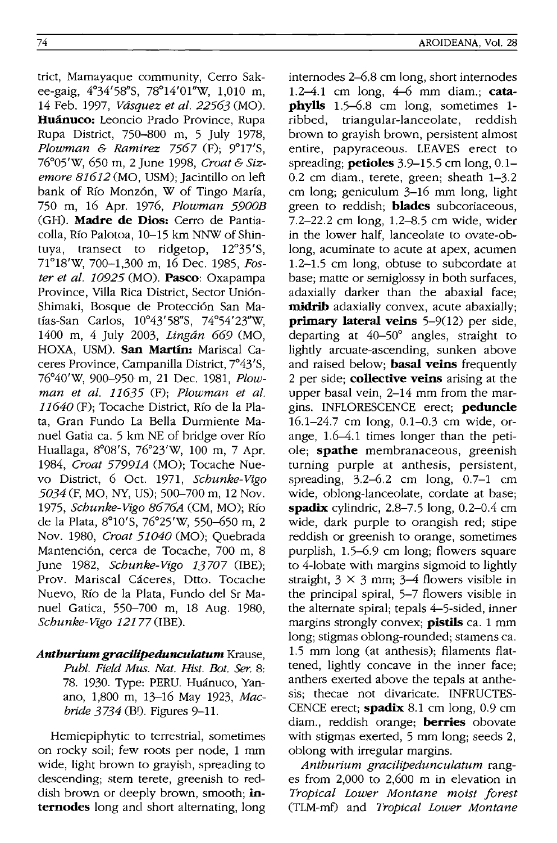trict, Mamayaque community, Cerro Sakee-gaig, 4°34'58"S, 78°14'01"W, 1,010 m, 14 Feb. 1997, *Vasquez et al.* 22563 (MO). Huánuco: Leoncio Prado Province, Rupa Rupa District, 750-800 m, 5 July 1978, *Plowman* & *Ramirez* 7567 (F); 9°17'S, 76°05'W, 650 m, 2 June 1998, *Croat* & *Sizemore* 81612 (MO, USM); Jacintillo on left bank of Río Monzón, W of Tingo María, 750 m, 16 Apr. 1976, *Plowman 5900B*  (GH). **Madre de Dios:** Cerro de Pantiacolla, Rio Palotoa, 10-15 km NNW of Shintuya, transect to ridgetop, 12°35'S, 71°18'W, 700-1,300 m, 16 Dec. 1985, *Foster et al. 10925* (MO). **Pasco:** Oxapampa Province, Villa Rica District, Sector Unión-Shimaki, Bosque de Protección San Matias-San Carlos, 10°43' 58"S, 74°54' 23"W, 1400 m, 4 July 2003, *Lingan* 669 (MO, HOXA, USM). **San Martin:** Mariscal Caceres Province, Campanilla District, 7°43'S, 76°40'W, 900-950 m, 21 Dec. 1981, *Plowman et al.* 11635 (F); *Plowman et al. 11640* (F); Tocache District, Rio de la Plata, Gran Fundo La Bella Durmiente Manuel Gatia ca. 5 km NE of bridge over Rfo Huallaga, 8°08'S, 76°23'W, 100 m, 7 Apr. 1984, *Croat 57991A* (MO); Tocache Nuevo District, 6 Oct. 1971, *Schunke-Vigo 5034* (F, MO, NY, US); 500-700 m, 12 Nov. 1975, *Schunke-Vigo 8676A* (CM, MO); Rio de la Plata, 8°1O'S, 76°25'W, 550-650 m, 2 Nov. 1980, *Croat 51040* (MO); Quebrada Mantención, cerca de Tocache, 700 m, 8 June 1982, *Schunke-Vigo 13707* (lBE); Prov. Mariscal Cáceres, Dtto. Tocache Nuevo, Rfo de la Plata, Fundo del Sr Manuel Gatica, 550-700 m, 18 Aug. 1980, *Schunke-Vigo* 12177 (IBE).

*Anthurium gracilipedunculatum* Krause, *Publ. Field Mus. Nat. Hist. Bot. Ser. 8:*  78. 1930. Type: PERU. Huanuco, Yanano, 1,800 m, 13-16 May 1923, *Macbride*  $3734$  (B!). Figures 9-11.

Hemiepiphytic to terrestrial, sometimes on rocky soil; few roots per node, 1 mm wide, light brown to grayish, spreading to descending; stem terete, greenish to reddish brown or deeply brown, smooth; **internodes** long and short alternating, long internodes 2-6.8 cm long, short internodes 1.2-4.1 cm long, 4-6 mm diam.; **cataphylls** 1.5–6.8 cm long, sometimes 1-<br>ribbed. triangular-lanceolate. reddish triangular-lanceolate, reddish brown to grayish brown, persistent almost entire, papyraceous. LEAVES erect to spreading; **petioles** 3.9-15.5 cm long, 0.1- 0.2 cm diam., terete, green; sheath 1-3.2 cm long; geniculum 3-16 mm long, light green to reddish; **blades** subcoriaceous, 7.2-22.2 cm long, 1.2-8.5 cm wide, wider in the lower half, lanceolate to ovate-oblong, acuminate to acute at apex, acumen 1.2-1.5 cm long, obtuse to subcordate at base; matte or semiglossy in both surfaces, adaxially darker than the abaxial face; **midrib** adaxially convex, acute abaxially; **primary lateral veins** 5-9(12) per side, departing at 40-50° angles, straight to lightly arcuate-ascending, sunken above and raised below; **basal veins** frequently 2 per side; **collective veins** arising at the upper basal vein, 2-14 mm from the margins. INFLORESCENCE erect; **peduncle**  16.1-24.7 cm long, 0.1-0.3 cm wide, orange, 1.6-4.1 times longer than the petiole; **spathe** membranaceous, greenish turning purple at anthesis, persistent, spreading, 3.2-6.2 cm long, 0.7-1 cm wide, oblong-lanceolate, cordate at base; **spadix** cylindric, 2.8-7.5 long, 0.2-0.4 cm wide, dark purple to orangish red; stipe reddish or greenish to orange, sometimes purplish, 1.5-6.9 cm long; flowers square to 4-10bate with margins sigmoid to lightly straight,  $3 \times 3$  mm;  $3-4$  flowers visible in the principal spiral, 5-7 flowers visible in the alternate spiral; tepals 4-5-sided, inner margins strongly convex; **pistils** ca. 1 mm long; stigmas oblong-rounded; stamens ca. 1.5 mm long (at anthesis); filaments flattened, lightly concave in the inner face; anthers exerted above the tepals at anthesis; thecae not divaricate. INFRUCTES-CENCE erect; **spadix** 8.1 cm long, 0.9 cm diam., reddish orange; **berries** obovate with stigmas exerted, 5 mm long; seeds 2, oblong with irregular margins.

*Anthurium gracilipedunculatum* ranges from 2,000 to 2,600 m in elevation in *Tropical Lower Montane moist forest*  (TLM-mf) and *Tropical Lower Montane*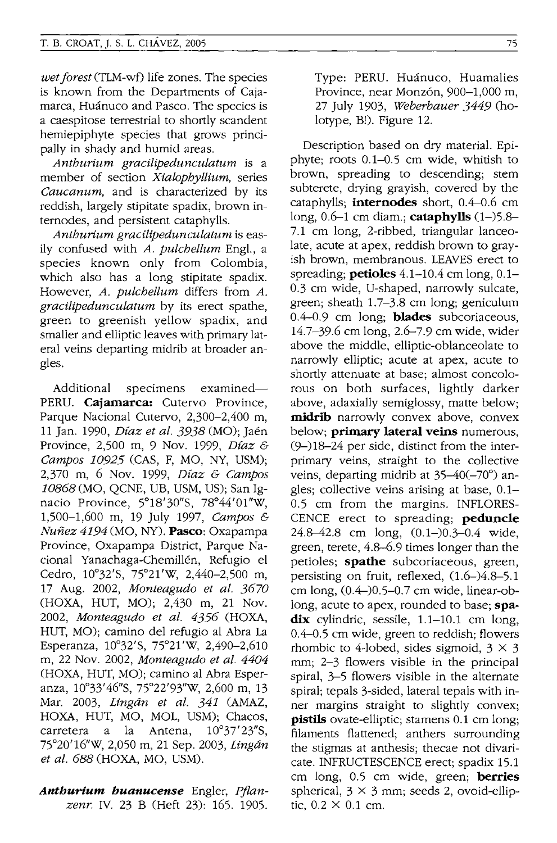*wet forest* (TIM-wf) life zones. The species is known from the Departments of Cajamarca. Huánuco and Pasco. The species is a caespitose terrestrial to shortly scandent hemiepiphyte species that grows principally in shady and humid areas.

*Anthurium gracilipedunculatum* is a member of section *Xialophyllium,* series *Caucanum,* and is characterized by its reddish, largely stipitate spadix, brown internodes, and persistent cataphylls.

*Anthurium gracilipedunculatum* is easily confused with *A. pulchellum* Engl., a species known only from Colombia, which also has a long stipitate spadix. However, *A. pulchellum* differs from *A. gracilipedunculatum* by its erect spathe, green to greenish yellow spadix, and smaller and elliptic leaves with primary lateral veins departing midrib at broader angles.

Additional specimens examined-PERU. **Cajamarca:** Cutervo Province, Parque Nacional Cutervo, 2,300-2,400 m, 11 Jan. 1990, *Dfaz et al.* 3938 (MO); Jaen Province, 2,500 m, 9 Nov. 1999, *Dfaz* & *Campos 10925* (CAS, F, MO, NY, USM); 2,370 m, 6 Nov. 1999, *Dfaz* & *Campos 10868* (MO, QCNE, UB, USM, US); San Ignacio Province, 5°18'30"S, 78°44'Ol"W, 1,500-1,600 m, 19 July 1997, *Campos* & *Nunez* 4194 (MO, NY). **Pasco:** Oxapampa Province, Oxapampa District, Parque Nacional Yanachaga-Chemillén, Refugio el Cedro, 10°32'S, 75°21'W, 2,440-2,500 m, 17 Aug. 2002, *Monteagudo et al. 3670*  (HOXA, HUT, MO); 2,430 m, 21 Nov. 2002, *Monteagudo et al.* 4356 (HOXA, HUT, MO); camino del refugio al Abra La Esperanza, 10°32'5, 75°21'W, 2,490-2,610 m, 22 Nov. 2002, *Monteagudo et al. 4404*  (HOXA, HUT, MO); camino al Abra Esperanza, 10°33'46"S, 75°22'93"W, 2,600 m, 13 Mar. 2003, *Lingan et al.* 341 (AMAZ, HOXA, HUT, MO, MOL, USM); Chacos, carretera a la Antena,  $10^{\circ}37'23''S$ , 75°20'16''W, 2,050 m, 21 Sep. 2003, *Lingan et al.* 688 (HOXA, MO, USM).

*Anthurium huanucense* Engler, *Pflanzenr.* IV. 23 B (Heft 23): 165. 1905.

Type: PERU. Huánuco, Huamalies Province, near Monzón, 900-1,000 m, 27 July 1903, *Weberbauer* 3449 (holotype, B!). Figure 12.

Description based on dry material. Epiphyte; roots  $0.1-0.5$  cm wide, whitish to brown, spreading to descending; stem subterete, drying grayish, covered by the cataphylls; **internodes** short, 0.4-0.6 cm long, 0.6-1 cm diam.; **cataphylls** (1-)5.8- 7.1 cm long, 2-ribbed, triangular lanceolate, acute at apex, reddish brown to grayish brown, membranous. LEAVES erect to spreading; **petioles** 4.1-10.4 cm long, 0.1- 0.3 cm wide, U-shaped, narrowly sulcate, green; sheath 1.7-3.8 cm long; geniculum 0.4-0.9 cm long; **blades** subcoriaceous, 14.7-39.6 cm long, 2.6-7.9 cm wide, wider above the middle, elliptic-oblanceolate to narrowly elliptic; acute at apex, acute to shortly attenuate at base; almost concolorous on both surfaces, lightly darker above, adaxially semiglossy, matte below; **midrib** narrowly convex above, convex below; **primary lateral veins** numerous, (9-)18-24 per side, distinct from the interprimary veins, straight to the collective veins, departing midrib at 35-40(-70°) angles; collective veins arising at base, 0.1- 0.5 cm from the margins. INFLORES-CENCE erect to spreading; **peduncle**  24.8-42.8 cm long, (0.1-)0.3-0.4 wide, green, terete, 4.8-6.9 times longer than the petioles; **spathe** subcoriaceous, green, persisting on fruit, reflexed, (1.6-)4.8-5.1 cm long,  $(0.4-)0.5-0.7$  cm wide, linear-oblong, acute to apex, rounded to base; **spa**dix cylindric, sessile, 1.1-10.1 cm long, 0.4-0.5 cm wide, green to reddish; flowers rhombic to 4-lobed, sides sigmoid,  $3 \times 3$ mm; 2-3 flowers visible in the principal spiral, 3-5 flowers visible in the alternate spiral; tepals 3-sided, lateral tepals with inner margins straight to slightly convex; **pistils** ovate-elliptic; stamens 0.1 cm long; filaments flattened; anthers surrounding the stigmas at anthesis; thecae not divaricate. INFRUCTESCENCE erect; spadix 15.1 cm long, 0.5 cm wide, green; **berries**  spherical,  $3 \times 3$  mm; seeds 2, ovoid-elliptic,  $0.2 \times 0.1$  cm.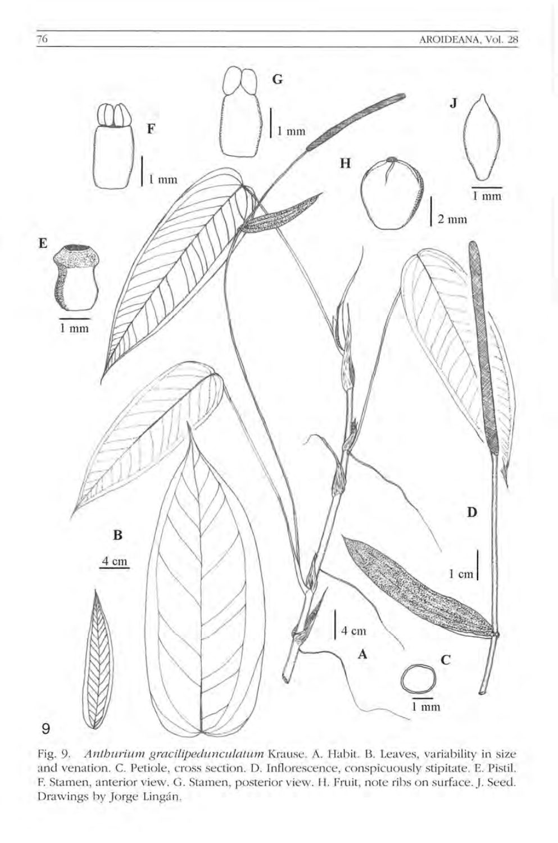

Fig. 9. *Anthurium gracilipedunculatum* Krause. A. Habit. B. Leaves, variability in size and venation. C. Petiole, cross section. D. Inflorescence, conspicuously stipitate. E. Pistil. F. Stamen, anterior view. G. Stamen, posterior view. H. Fruit, note ribs on surface. J. Seed. Drawings by Jorge Lingán.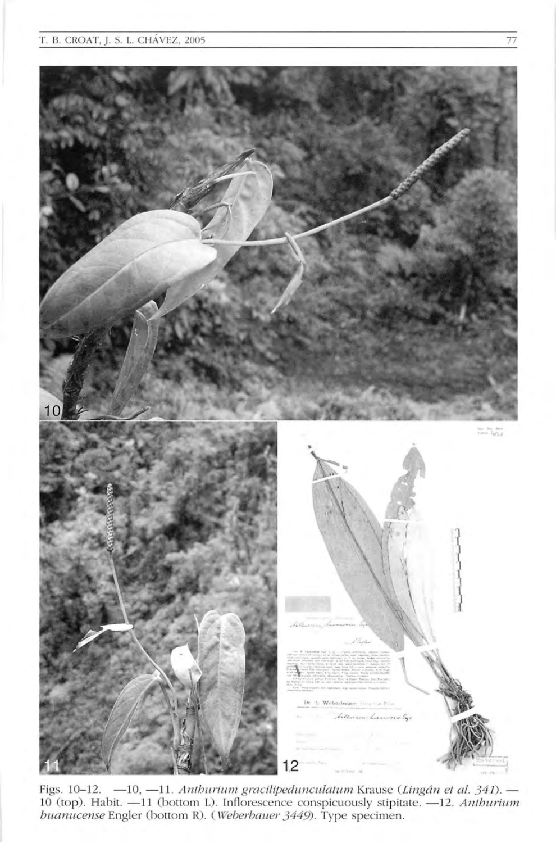

Figs. 10-12. -10, -11. *Anthurium gracilipedunculatum* Krause (Lingán et al. 341). -10 (top). Habit. -11 (bottom L). Inflorescence conspicuously stipitate. -12. Anthurium *huanucense* Engler (bottom R). (Weberbauer 3449). Type specimen.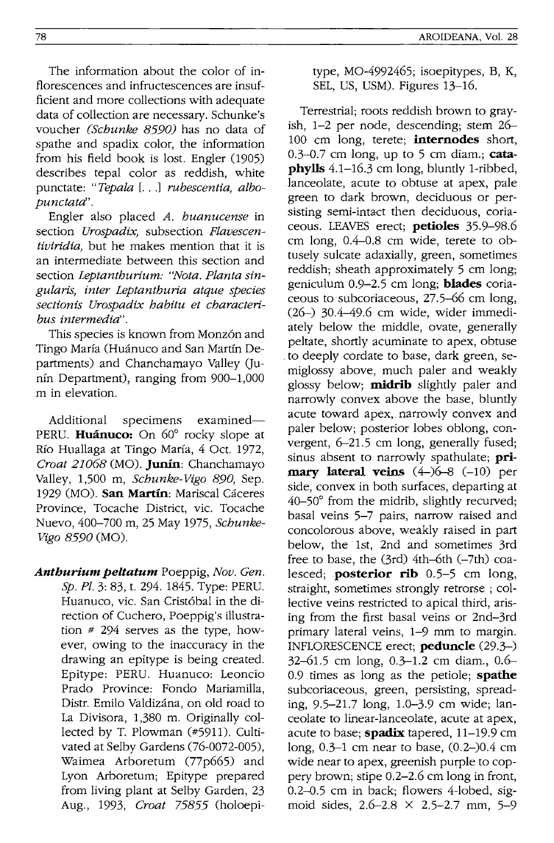The information about the color of inflorescences and infructescences are insufficient and more collections with adequate data of collection are necessary. Schunke's voucher *(Schunke* 8590) has no data of spathe and spadix color, the information from his field book is lost. Engler (1905) describes tepal color as reddish, white punctate: *"Tepala* [. .. J *rubescentia, albopunctatd'.* 

Engler also placed *A. huanucense* in section *Urospadix,* subsection *Flavescentiviridia,* but he makes mention that it is an intermediate between this section and section *Leptanthurium: "Nota. Planta singularis, inter Leptanthuria atque species section is Urospadix habitu et characteribus intermedia".* 

This species is known from Monzón and Tingo María (Huánuco and San Martín Departments) and Chanchamayo Valley (Junin Department), ranging from 900-1,000 m in elevation.

Additional specimens examined-PERU. Huánuco: On 60° rocky slope at Rio Huallaga at Tingo Marfa, 4 Oct. 1972, *Croat* 21068 (MO). Junin: Chanchamayo Valley, 1,500 m, *Schunke-Vigo* 890, Sep. 1929 (MO). San Martín: Mariscal Cáceres Province, Tocache District, vic. Tocache Nuevo, 400-700 m, 25 May 1975, *Schunke-Vigo* 8590 (MO).

*Anthurium pel tatum* Poeppig, *Nov. Gen. Sp. Pl.* 3: 83, t. 294. 1845. Type: PERU. Huanuco, vic. San Cristóbal in the direction of Cuchero, Poeppig's illustration # 294 serves as the type, however, owing to the inaccuracy in the drawing an epitype is being created. Epitype: PERU. Huanuco: Leoncio Prado Province: Fondo Mariamilla, Distr. Emilo Valdizana, on old road to La Divisora, 1,380 m. Originally collected by T. Plowman (#5911). Cultivated at Selby Gardens (76-0072-005), Waimea Arboretum (77p665) and Lyon Arboretum; Epitype prepared from living plant at Selby Garden, 23 Aug., 1993, *Croat* 75855 (holoepitype, MO-4992465; isoepitypes, B, K, SEL, US, USM). Figures 13-16.

Terrestrial; roots reddish brown to grayish, 1-2 per node, descending; stem 26- 100 cm long, terete; **internodes** short, 0.3-0.7 cm long, up to 5 cm diam.; catapbylls 4.1-16.3 em long, bluntly I-ribbed, .1anceolate, acute to obtuse at apex, pale green to dark brown, deciduous or persisting semi-intact then deciduous, coriaceous. LEAVES erect; petioles 35.9-98.6 em long, 0.4-0.8 em wide, terete to obtusely sulcate .adaxialIy, green, sometimes reddish; sheath approximately 5 em long; geniculum 0.9-2.5 em long; blades coriaceous to subcoriaceous, 27.5-66 cm long, (26-) 30.4-49.6 cm wide, wider immediately below the middle, ovate, generally peltate, shortly acuminate to apex, obtuse . to deeply cordate to base, dark green, semiglossy above, much paler and weakly glossy below; **midrib** slightly paler and narrowly convex above the base, bluntly acute toward apex, narrowly convex and paler below; posterior lobes oblong, convergent, 6-21.5 em long, generally fused; sinus absent to narrowly spathulate;  $pri$ mary lateral veins  $(4-)6-8$   $(-10)$  per side, convex in both surfaces, departing at 40-50° from the midrib, slightly recurved; basal veins 5-7 pairs, narrow raised and concolorous above, weakly raised in part below, the 1st, 2nd and sometimes 3rd free to base, the  $(3rd)$  4th-6th  $(-7th)$  coalesced; **posterior rib**  $0.5-5$  cm long, straight, sometimes strongly retrorse ; collective veins restricted to apical third, arising from the first basal veins or 2nd-3rd primary lateral veins, 1-9 mm to margin. INFLORESCENCE erect; peduncle (29.3-) 32-61.5 em long, 0.3-1.2 em diam., 0.6- 0.9 times as long as the petiole; spathe subcoriaceous, green, persisting, spreading, 9.5-21.7 long, 1.0-3.9 em wide; lanceolate to linear-lanceolate, acute at apex, acute to base; **spadix** tapered, 11-19.9 cm long, 0.3-1 em near to base, (0.2-)0.4 em wide near to apex, greenish purple to coppery brown; stipe 0.2-2.6 em long in front, 0.2-0.5 em in back; flowers 4-lobed, sigmoid sides,  $2.6 - 2.8 \times 2.5 - 2.7$  mm,  $5 - 9$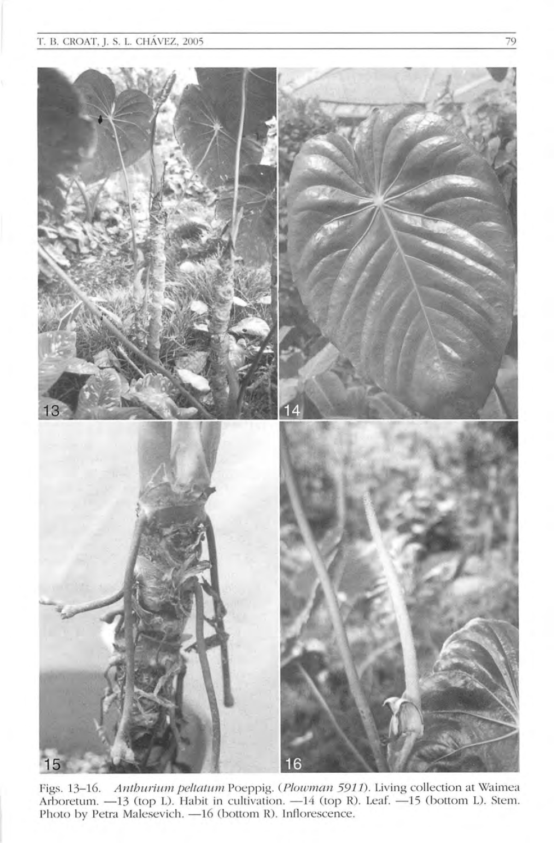

Figs. 13-16. Anthurium peltatum Poeppig. (Plowman 5911). Living collection at Waimea Arboretum. -13 (top L). Habit in cultivation. -14 (top R). Leaf. -15 (bottom L). Stem. Photo by Petra Malesevich. - 16 (bottom R). Inflorescence.